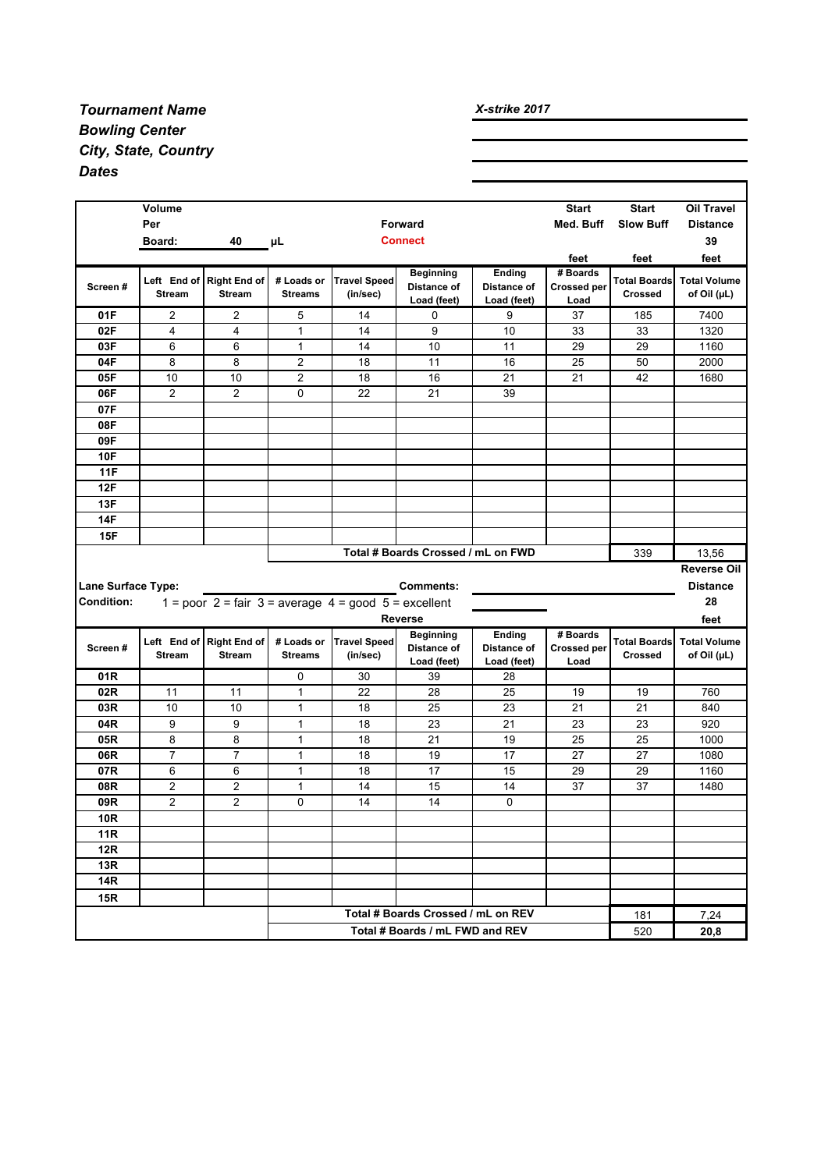## *Tournament Name Bowling Center City, State, Country Dates*

|                           | Volume         |                          |                |                                                                       |                                        |                              | <b>Start</b>                   | <b>Start</b>        | <b>Oil Travel</b>   |
|---------------------------|----------------|--------------------------|----------------|-----------------------------------------------------------------------|----------------------------------------|------------------------------|--------------------------------|---------------------|---------------------|
|                           | Per            |                          |                |                                                                       | Forward                                |                              | Med. Buff                      | <b>Slow Buff</b>    | <b>Distance</b>     |
|                           | Board:         | 40                       | μL             |                                                                       | <b>Connect</b>                         |                              |                                |                     | 39                  |
|                           |                |                          |                |                                                                       |                                        |                              | feet                           | feet                | feet                |
| Screen#                   |                | Left End of Right End of | # Loads or     | <b>Travel Speed</b>                                                   | <b>Beginning</b><br>Distance of        | Ending<br>Distance of        | # Boards<br><b>Crossed per</b> | <b>Total Boards</b> | <b>Total Volume</b> |
|                           | <b>Stream</b>  | <b>Stream</b>            | <b>Streams</b> | (in/sec)                                                              | Load (feet)                            | Load (feet)                  | Load                           | <b>Crossed</b>      | of Oil (µL)         |
| 01F                       | 2              | 2                        | 5              | 14                                                                    | 0                                      | 9                            | 37                             | 185                 | 7400                |
| 02F                       | $\overline{4}$ | $\overline{\mathbf{4}}$  | 1              | 14                                                                    | 9                                      | 10                           | 33                             | 33                  | 1320                |
| 03F                       | 6              | 6                        | $\mathbf{1}$   | 14                                                                    | 10                                     | 11                           | 29                             | 29                  | 1160                |
| 04F                       | 8              | 8                        | $\overline{2}$ | 18                                                                    | 11                                     | 16                           | 25                             | 50                  | 2000                |
| 05F                       | 10             | 10                       | 2              | 18                                                                    | 16                                     | 21                           | 21                             | 42                  | 1680                |
| 06F                       | $\overline{2}$ | $\overline{2}$           | $\mathbf{0}$   | 22                                                                    | 21                                     | 39                           |                                |                     |                     |
| 07F                       |                |                          |                |                                                                       |                                        |                              |                                |                     |                     |
| 08F                       |                |                          |                |                                                                       |                                        |                              |                                |                     |                     |
| 09F                       |                |                          |                |                                                                       |                                        |                              |                                |                     |                     |
| <b>10F</b>                |                |                          |                |                                                                       |                                        |                              |                                |                     |                     |
| <b>11F</b><br>12F         |                |                          |                |                                                                       |                                        |                              |                                |                     |                     |
| 13F                       |                |                          |                |                                                                       |                                        |                              |                                |                     |                     |
| <b>14F</b>                |                |                          |                |                                                                       |                                        |                              |                                |                     |                     |
|                           |                |                          |                |                                                                       |                                        |                              |                                |                     |                     |
|                           |                |                          |                |                                                                       |                                        |                              |                                |                     |                     |
| 15F                       |                |                          |                |                                                                       |                                        |                              |                                |                     |                     |
|                           |                |                          |                |                                                                       | Total # Boards Crossed / mL on FWD     |                              |                                | 339                 | 13,56               |
|                           |                |                          |                |                                                                       |                                        |                              |                                |                     | <b>Reverse Oil</b>  |
| <b>Lane Surface Type:</b> |                |                          |                |                                                                       | <b>Comments:</b>                       |                              |                                |                     | <b>Distance</b>     |
| <b>Condition:</b>         |                |                          |                | 1 = poor 2 = fair 3 = average $4 = \text{good } 5 = \text{excellent}$ |                                        |                              |                                |                     | 28                  |
|                           |                |                          |                |                                                                       | <b>Reverse</b>                         |                              | # Boards                       |                     | feet                |
| Screen#                   |                | Left End of Right End of | # Loads or     | <b>Travel Speed</b>                                                   | <b>Beginning</b><br><b>Distance of</b> | Ending<br><b>Distance of</b> | <b>Crossed per</b>             | <b>Total Boards</b> | <b>Total Volume</b> |
|                           | <b>Stream</b>  | <b>Stream</b>            | <b>Streams</b> | (in/sec)                                                              | Load (feet)                            | Load (feet)                  | Load                           | <b>Crossed</b>      | of Oil (µL)         |
| 01R                       |                |                          | 0              | 30                                                                    | 39                                     | 28                           |                                |                     |                     |
| 02R                       | 11             | 11                       | $\mathbf{1}$   | 22                                                                    | 28                                     | 25                           | 19                             | 19                  | 760                 |
| 03R                       | 10             | 10                       | $\mathbf{1}$   | 18                                                                    | 25                                     | 23                           | 21                             | 21                  | 840                 |
| 04R                       | 9              | 9                        | 1              | 18                                                                    | 23                                     | 21                           | 23                             | 23                  | 920                 |
| 05R                       | 8              | 8                        | 1              | 18                                                                    | 21                                     | 19                           | 25                             | 25                  | 1000                |
| 06R                       | $\overline{7}$ | $\overline{7}$           | $\mathbf{1}$   | 18                                                                    | 19                                     | 17                           | 27                             | 27                  | 1080                |
| 07R                       | 6              | 6                        | 1              | 18                                                                    | 17                                     | 15                           | 29                             | 29                  | 1160                |
| 08R                       | 2              | 2                        | 1              | 14                                                                    | 15                                     | 14                           | 37                             | 37                  | 1480                |
| 09R                       | 2              | 2                        | $\Omega$       | 14                                                                    | 14                                     | $\Omega$                     |                                |                     |                     |
| 10R                       |                |                          |                |                                                                       |                                        |                              |                                |                     |                     |
| <b>11R</b>                |                |                          |                |                                                                       |                                        |                              |                                |                     |                     |
| <b>12R</b>                |                |                          |                |                                                                       |                                        |                              |                                |                     |                     |
| 13R<br>14R                |                |                          |                |                                                                       |                                        |                              |                                |                     |                     |
| 15R                       |                |                          |                |                                                                       |                                        |                              |                                |                     |                     |
|                           |                |                          |                |                                                                       | Total # Boards Crossed / mL on REV     |                              |                                | 181                 | 7,24                |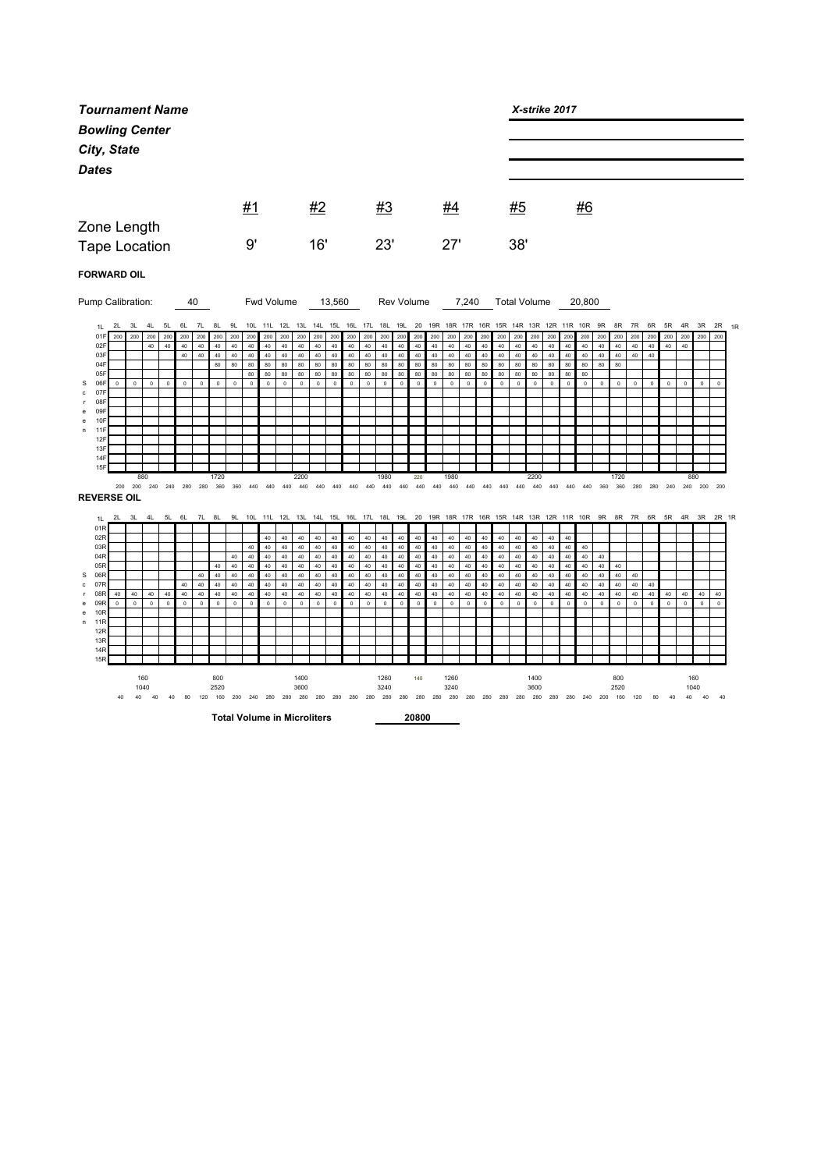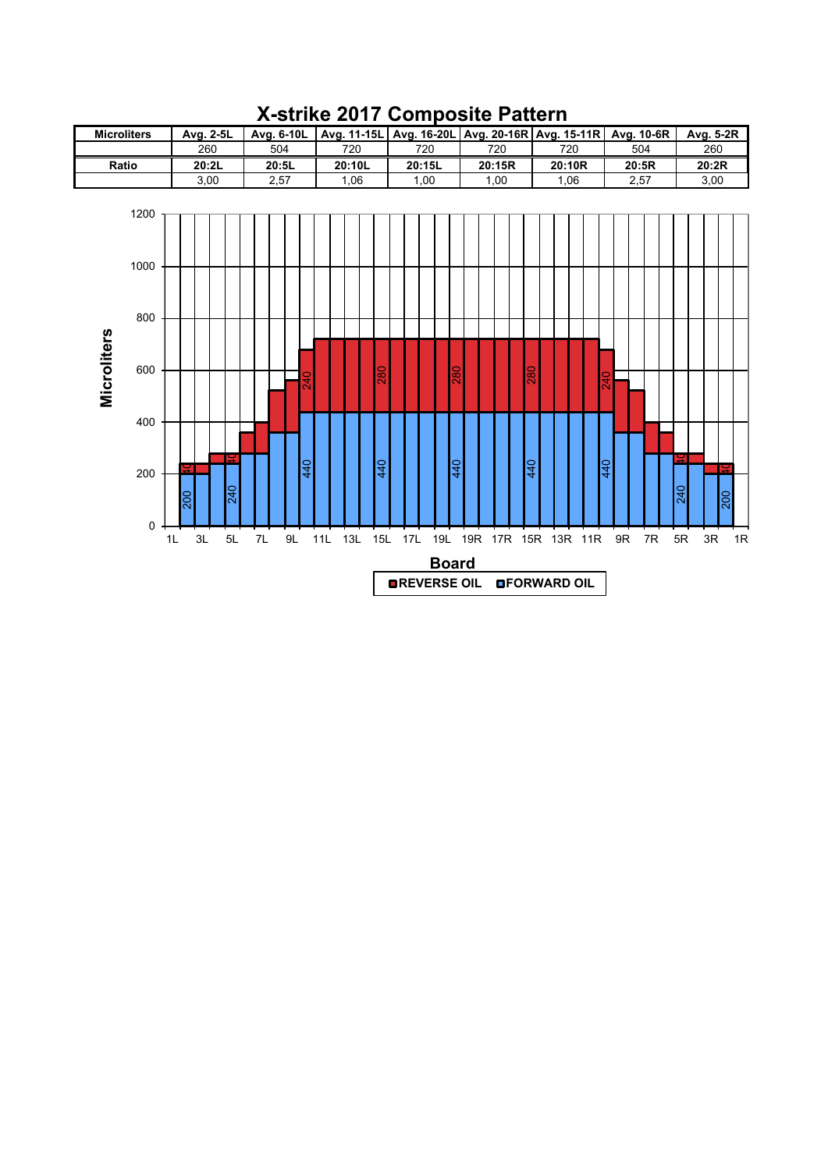

## **X-strike 2017 Composite Pattern**